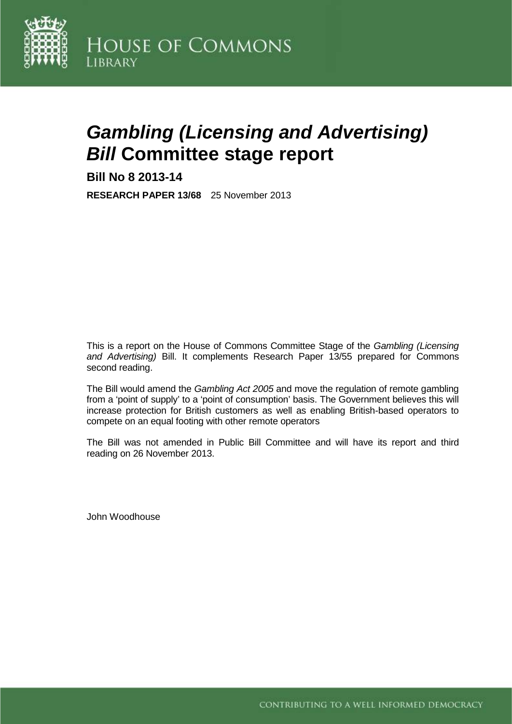

# *Gambling (Licensing and Advertising) Bill* **Committee stage report**

**Bill No 8 2013-14**

**RESEARCH PAPER 13/68** 25 November 2013

This is a report on the House of Commons Committee Stage of the *Gambling (Licensing and Advertising)* Bill. It complements Research Paper 13/55 prepared for Commons second reading.

The Bill would amend the *Gambling Act 2005* and move the regulation of remote gambling from a 'point of supply' to a 'point of consumption' basis. The Government believes this will increase protection for British customers as well as enabling British-based operators to compete on an equal footing with other remote operators

The Bill was not amended in Public Bill Committee and will have its report and third reading on 26 November 2013.

John Woodhouse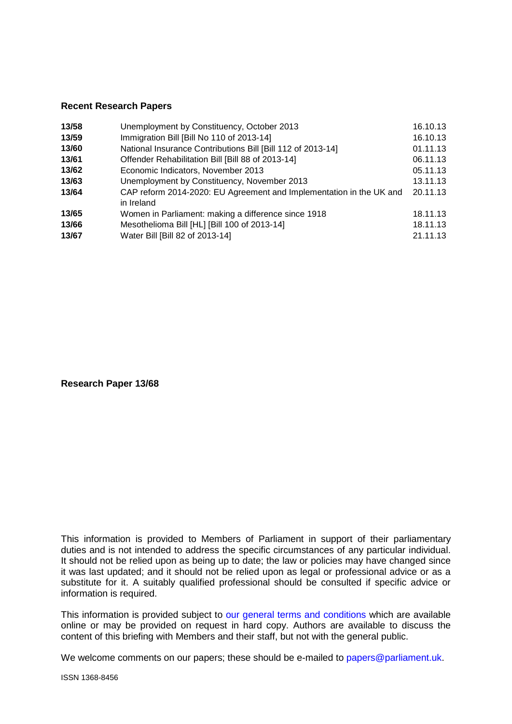#### **Recent Research Papers**

| Unemployment by Constituency, October 2013                                        | 16.10.13 |
|-----------------------------------------------------------------------------------|----------|
| Immigration Bill [Bill No 110 of 2013-14]                                         | 16.10.13 |
| National Insurance Contributions Bill [Bill 112 of 2013-14]                       | 01.11.13 |
| Offender Rehabilitation Bill [Bill 88 of 2013-14]                                 | 06.11.13 |
| Economic Indicators, November 2013                                                | 05.11.13 |
| Unemployment by Constituency, November 2013                                       | 13.11.13 |
| CAP reform 2014-2020: EU Agreement and Implementation in the UK and<br>in Ireland | 20.11.13 |
| Women in Parliament: making a difference since 1918                               | 18.11.13 |
| Mesothelioma Bill [HL] [Bill 100 of 2013-14]                                      | 18.11.13 |
| Water Bill [Bill 82 of 2013-14]                                                   | 21.11.13 |
|                                                                                   |          |

**Research Paper 13/68**

This information is provided to Members of Parliament in support of their parliamentary duties and is not intended to address the specific circumstances of any particular individual. It should not be relied upon as being up to date; the law or policies may have changed since it was last updated; and it should not be relied upon as legal or professional advice or as a substitute for it. A suitably qualified professional should be consulted if specific advice or information is required.

This information is provided subject to [our general terms and conditions](http://www.parliament.uk/site-information/copyright/) which are available online or may be provided on request in hard copy. Authors are available to discuss the content of this briefing with Members and their staff, but not with the general public.

We welcome comments on our papers; these should be e-mailed to [papers@parliament.uk.](mailto:papers@parliament.uk)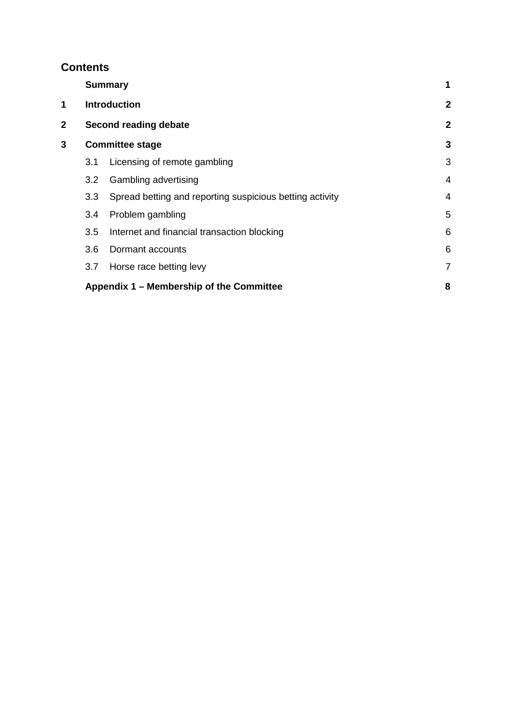# **Contents**

|   | <b>Summary</b><br><b>Introduction</b>    |                                                          | 1              |
|---|------------------------------------------|----------------------------------------------------------|----------------|
| 1 |                                          |                                                          | $\overline{2}$ |
| 2 |                                          | Second reading debate                                    | $\overline{2}$ |
| 3 |                                          | <b>Committee stage</b>                                   | 3              |
|   | 3.1                                      | Licensing of remote gambling                             | 3              |
|   | 3.2 <sub>2</sub>                         | Gambling advertising                                     | $\overline{4}$ |
|   | 3.3                                      | Spread betting and reporting suspicious betting activity | 4              |
|   | 3.4                                      | Problem gambling                                         | 5              |
|   | 3.5                                      | Internet and financial transaction blocking              | 6              |
|   | 3.6                                      | Dormant accounts                                         | 6              |
|   | 3.7                                      | Horse race betting levy                                  | $\overline{7}$ |
|   | Appendix 1 – Membership of the Committee |                                                          |                |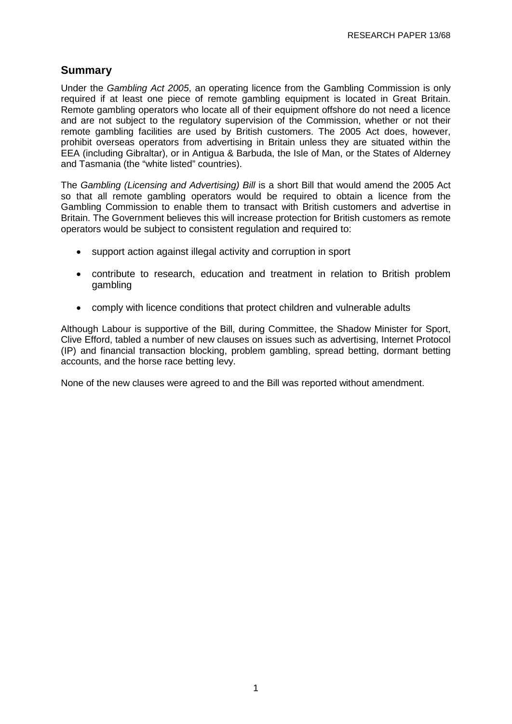## **Summary**

Under the *Gambling Act 2005*, an operating licence from the Gambling Commission is only required if at least one piece of remote gambling equipment is located in Great Britain. Remote gambling operators who locate all of their equipment offshore do not need a licence and are not subject to the regulatory supervision of the Commission, whether or not their remote gambling facilities are used by British customers. The 2005 Act does, however, prohibit overseas operators from advertising in Britain unless they are situated within the EEA (including Gibraltar), or in Antigua & Barbuda, the Isle of Man, or the States of Alderney and Tasmania (the "white listed" countries).

The *Gambling (Licensing and Advertising) Bill* is a short Bill that would amend the 2005 Act so that all remote gambling operators would be required to obtain a licence from the Gambling Commission to enable them to transact with British customers and advertise in Britain. The Government believes this will increase protection for British customers as remote operators would be subject to consistent regulation and required to:

- support action against illegal activity and corruption in sport
- contribute to research, education and treatment in relation to British problem gambling
- comply with licence conditions that protect children and vulnerable adults

Although Labour is supportive of the Bill, during Committee, the Shadow Minister for Sport, Clive Efford, tabled a number of new clauses on issues such as advertising, Internet Protocol (IP) and financial transaction blocking, problem gambling, spread betting, dormant betting accounts, and the horse race betting levy.

None of the new clauses were agreed to and the Bill was reported without amendment.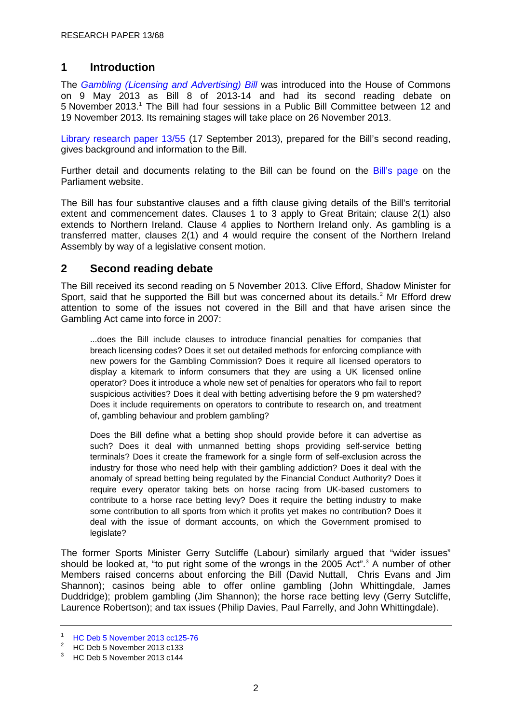## **1 Introduction**

The *[Gambling \(Licensing and Advertising\) Bill](http://www.publications.parliament.uk/pa/bills/cbill/2013-2014/0008/cbill_2013-20140008_en_1.htm)* was introduced into the House of Commons on 9 May 2013 as Bill 8 of 2013-14 and had its second reading debate on 5 November 2013.[1](#page-5-0) The Bill had four sessions in a Public Bill Committee between 12 and 19 November 2013. Its remaining stages will take place on 26 November 2013.

[Library research paper 13/55](http://www.parliament.uk/briefing-papers/RP13-55/gambling-(licensing-and-advertising)-bill) (17 September 2013), prepared for the Bill's second reading, gives background and information to the Bill.

Further detail and documents relating to the Bill can be found on the [Bill's page](http://services.parliament.uk/bills/2013-14/gamblinglicensingandadvertising/documents.html) on the Parliament website.

The Bill has four substantive clauses and a fifth clause giving details of the Bill's territorial extent and commencement dates. Clauses 1 to 3 apply to Great Britain; clause 2(1) also extends to Northern Ireland. Clause 4 applies to Northern Ireland only. As gambling is a transferred matter, clauses 2(1) and 4 would require the consent of the Northern Ireland Assembly by way of a legislative consent motion.

## **2 Second reading debate**

The Bill received its second reading on 5 November 2013. Clive Efford, Shadow Minister for Sport, said that he supported the Bill but was concerned about its details. [2](#page-5-1) Mr Efford drew attention to some of the issues not covered in the Bill and that have arisen since the Gambling Act came into force in 2007:

...does the Bill include clauses to introduce financial penalties for companies that breach licensing codes? Does it set out detailed methods for enforcing compliance with new powers for the Gambling Commission? Does it require all licensed operators to display a kitemark to inform consumers that they are using a UK licensed online operator? Does it introduce a whole new set of penalties for operators who fail to report suspicious activities? Does it deal with betting advertising before the 9 pm watershed? Does it include requirements on operators to contribute to research on, and treatment of, gambling behaviour and problem gambling?

Does the Bill define what a betting shop should provide before it can advertise as such? Does it deal with unmanned betting shops providing self-service betting terminals? Does it create the framework for a single form of self-exclusion across the industry for those who need help with their gambling addiction? Does it deal with the anomaly of spread betting being regulated by the Financial Conduct Authority? Does it require every operator taking bets on horse racing from UK-based customers to contribute to a horse race betting levy? Does it require the betting industry to make some contribution to all sports from which it profits yet makes no contribution? Does it deal with the issue of dormant accounts, on which the Government promised to legislate?

The former Sports Minister Gerry Sutcliffe (Labour) similarly argued that "wider issues" should be looked at, "to put right some of the wrongs in the 2005 Act".<sup>[3](#page-5-2)</sup> A number of other Members raised concerns about enforcing the Bill (David Nuttall, Chris Evans and Jim Shannon); casinos being able to offer online gambling (John Whittingdale, James Duddridge); problem gambling (Jim Shannon); the horse race betting levy (Gerry Sutcliffe, Laurence Robertson); and tax issues (Philip Davies, Paul Farrelly, and John Whittingdale).

<span id="page-5-0"></span> $\frac{1}{2}$  [HC Deb 5 November 2013 cc125-76](http://www.publications.parliament.uk/pa/cm201314/cmhansrd/cm131105/debtext/131105-0001.htm#13110557000002)

<span id="page-5-1"></span><sup>&</sup>lt;sup>2</sup> HC Deb 5 November 2013 c133<br><sup>3</sup> HC Deb 5 November 2013 c144

<span id="page-5-2"></span>HC Deb 5 November 2013 c144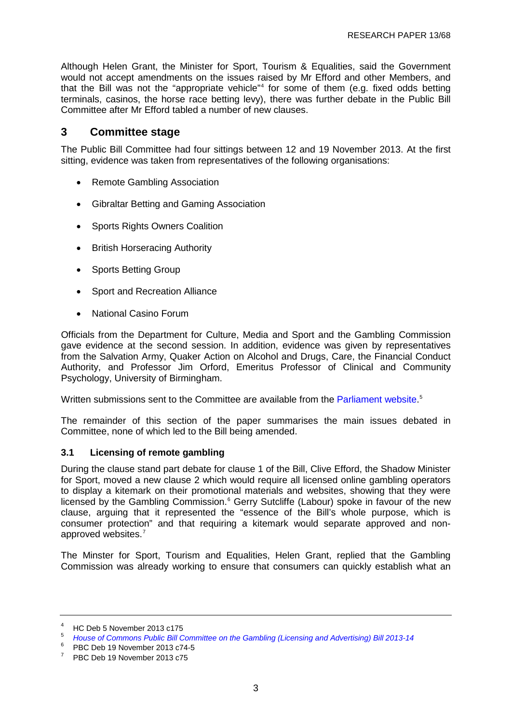Although Helen Grant, the Minister for Sport, Tourism & Equalities, said the Government would not accept amendments on the issues raised by Mr Efford and other Members, and that the Bill was not the "appropriate vehicle" [4](#page-6-0) for some of them (e.g. fixed odds betting terminals, casinos, the horse race betting levy), there was further debate in the Public Bill Committee after Mr Efford tabled a number of new clauses.

### **3 Committee stage**

The Public Bill Committee had four sittings between 12 and 19 November 2013. At the first sitting, evidence was taken from representatives of the following organisations:

- Remote Gambling Association
- Gibraltar Betting and Gaming Association
- Sports Rights Owners Coalition
- British Horseracing Authority
- Sports Betting Group
- Sport and Recreation Alliance
- National Casino Forum

Officials from the Department for Culture, Media and Sport and the Gambling Commission gave evidence at the second session. In addition, evidence was given by representatives from the Salvation Army, Quaker Action on Alcohol and Drugs, Care, the Financial Conduct Authority, and Professor Jim Orford, Emeritus Professor of Clinical and Community Psychology, University of Birmingham.

Written submissions sent to the Committee are available from the [Parliament website.](http://services.parliament.uk/bills/2013-14/gamblinglicensingandadvertising/committees/houseofcommonspublicbillcommitteeonthegamblinglicensingandadvertisingbill201314.html)<sup>[5](#page-6-1)</sup>

The remainder of this section of the paper summarises the main issues debated in Committee, none of which led to the Bill being amended.

#### **3.1 Licensing of remote gambling**

During the clause stand part debate for clause 1 of the Bill, Clive Efford, the Shadow Minister for Sport, moved a new clause 2 which would require all licensed online gambling operators to display a kitemark on their promotional materials and websites, showing that they were licensed by the Gambling Commission.<sup>[6](#page-6-2)</sup> Gerry Sutcliffe (Labour) spoke in favour of the new clause, arguing that it represented the "essence of the Bill's whole purpose, which is consumer protection" and that requiring a kitemark would separate approved and nonapproved websites.[7](#page-6-3)

The Minster for Sport, Tourism and Equalities, Helen Grant, replied that the Gambling Commission was already working to ensure that consumers can quickly establish what an

<span id="page-6-0"></span><sup>&</sup>lt;sup>4</sup> HC Deb 5 November 2013 c175<br><sup>5</sup> *[House of Commons Public Bill Committee on the Gambling \(Licensing and Advertising\) Bill 2013-14](http://services.parliament.uk/bills/2013-14/gamblinglicensingandadvertising/committees/houseofcommonspublicbillcommitteeonthegamblinglicensingandadvertisingbill201314.html)* 

<span id="page-6-2"></span><span id="page-6-1"></span> $^{6}$  PBC Deb 19 November 2013 c74-5

<span id="page-6-3"></span><sup>7</sup> PBC Deb 19 November 2013 c75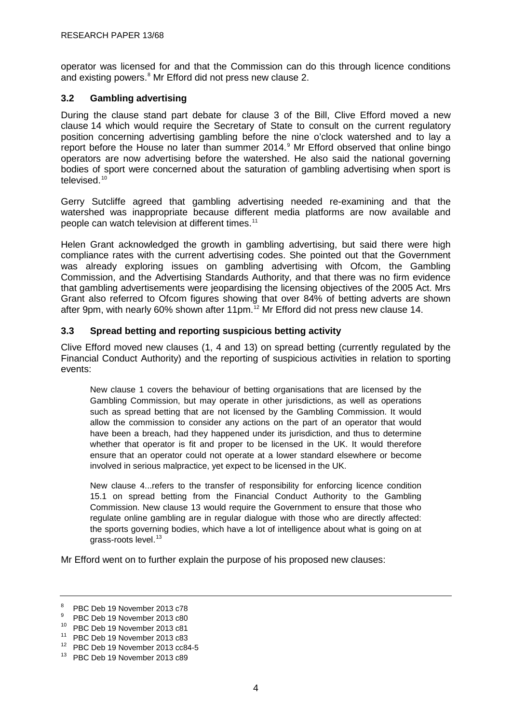operator was licensed for and that the Commission can do this through licence conditions and existing powers.<sup>[8](#page-7-0)</sup> Mr Efford did not press new clause 2.

#### **3.2 Gambling advertising**

During the clause stand part debate for clause 3 of the Bill, Clive Efford moved a new clause 14 which would require the Secretary of State to consult on the current regulatory position concerning advertising gambling before the nine o'clock watershed and to lay a report before the House no later than summer 2014.<sup>[9](#page-7-1)</sup> Mr Efford observed that online bingo operators are now advertising before the watershed. He also said the national governing bodies of sport were concerned about the saturation of gambling advertising when sport is televised.<sup>[10](#page-7-2)</sup>

Gerry Sutcliffe agreed that gambling advertising needed re-examining and that the watershed was inappropriate because different media platforms are now available and people can watch television at different times.<sup>[11](#page-7-3)</sup>

Helen Grant acknowledged the growth in gambling advertising, but said there were high compliance rates with the current advertising codes. She pointed out that the Government was already exploring issues on gambling advertising with Ofcom, the Gambling Commission, and the Advertising Standards Authority, and that there was no firm evidence that gambling advertisements were jeopardising the licensing objectives of the 2005 Act. Mrs Grant also referred to Ofcom figures showing that over 84% of betting adverts are shown after 9pm, with nearly 60% shown after 11pm.<sup>[12](#page-7-4)</sup> Mr Efford did not press new clause 14.

#### **3.3 Spread betting and reporting suspicious betting activity**

Clive Efford moved new clauses (1, 4 and 13) on spread betting (currently regulated by the Financial Conduct Authority) and the reporting of suspicious activities in relation to sporting events:

New clause 1 covers the behaviour of betting organisations that are licensed by the Gambling Commission, but may operate in other jurisdictions, as well as operations such as spread betting that are not licensed by the Gambling Commission. It would allow the commission to consider any actions on the part of an operator that would have been a breach, had they happened under its jurisdiction, and thus to determine whether that operator is fit and proper to be licensed in the UK. It would therefore ensure that an operator could not operate at a lower standard elsewhere or become involved in serious malpractice, yet expect to be licensed in the UK.

New clause 4...refers to the transfer of responsibility for enforcing licence condition 15.1 on spread betting from the Financial Conduct Authority to the Gambling Commission. New clause 13 would require the Government to ensure that those who regulate online gambling are in regular dialogue with those who are directly affected: the sports governing bodies, which have a lot of intelligence about what is going on at grass-roots level.<sup>[13](#page-7-5)</sup>

Mr Efford went on to further explain the purpose of his proposed new clauses:

<span id="page-7-0"></span> $\frac{8}{9}$  PBC Deb 19 November 2013 c78

PBC Deb 19 November 2013 c80

<span id="page-7-2"></span><span id="page-7-1"></span><sup>10</sup> PBC Deb 19 November 2013 c81

<span id="page-7-3"></span><sup>11</sup> PBC Deb 19 November 2013 c83

<span id="page-7-4"></span><sup>12</sup> PBC Deb 19 November 2013 cc84-5

<span id="page-7-5"></span><sup>13</sup> PBC Deb 19 November 2013 c89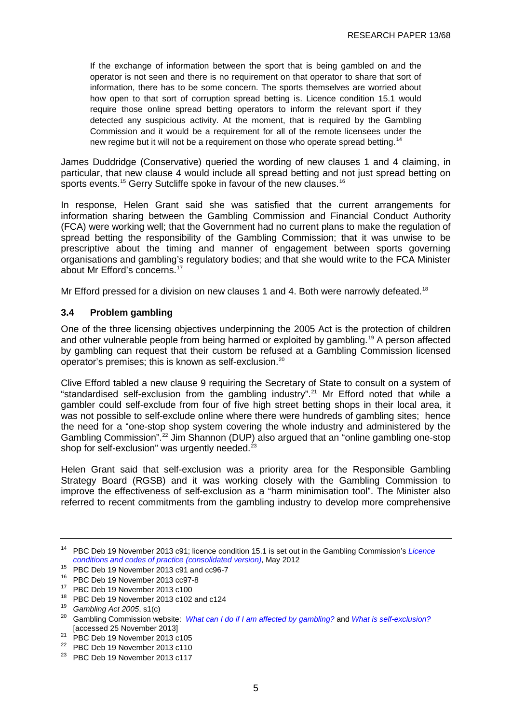If the exchange of information between the sport that is being gambled on and the operator is not seen and there is no requirement on that operator to share that sort of information, there has to be some concern. The sports themselves are worried about how open to that sort of corruption spread betting is. Licence condition 15.1 would require those online spread betting operators to inform the relevant sport if they detected any suspicious activity. At the moment, that is required by the Gambling Commission and it would be a requirement for all of the remote licensees under the new regime but it will not be a requirement on those who operate spread betting.<sup>[14](#page-8-0)</sup>

James Duddridge (Conservative) queried the wording of new clauses 1 and 4 claiming, in particular, that new clause 4 would include all spread betting and not just spread betting on sports events.<sup>[15](#page-8-1)</sup> Gerry Sutcliffe spoke in favour of the new clauses.<sup>[16](#page-8-2)</sup>

In response, Helen Grant said she was satisfied that the current arrangements for information sharing between the Gambling Commission and Financial Conduct Authority (FCA) were working well; that the Government had no current plans to make the regulation of spread betting the responsibility of the Gambling Commission; that it was unwise to be prescriptive about the timing and manner of engagement between sports governing organisations and gambling's regulatory bodies; and that she would write to the FCA Minister about Mr Efford's concerns.<sup>[17](#page-8-3)</sup>

Mr Efford pressed for a division on new clauses 1 and 4. Both were narrowly defeated.<sup>[18](#page-8-4)</sup>

#### **3.4 Problem gambling**

One of the three licensing objectives underpinning the 2005 Act is the protection of children and other vulnerable people from being harmed or exploited by gambling.[19](#page-8-5) A person affected by gambling can request that their custom be refused at a Gambling Commission licensed operator's premises; this is known as self-exclusion.<sup>[20](#page-8-6)</sup>

Clive Efford tabled a new clause 9 requiring the Secretary of State to consult on a system of "standardised self-exclusion from the gambling industry". [21](#page-8-7) Mr Efford noted that while a gambler could self-exclude from four of five high street betting shops in their local area, it was not possible to self-exclude online where there were hundreds of gambling sites; hence the need for a "one-stop shop system covering the whole industry and administered by the Gambling Commission".[22](#page-8-8) Jim Shannon (DUP) also argued that an "online gambling one-stop shop for self-exclusion" was urgently needed.<sup>[23](#page-8-9)</sup>

Helen Grant said that self-exclusion was a priority area for the Responsible Gambling Strategy Board (RGSB) and it was working closely with the Gambling Commission to improve the effectiveness of self-exclusion as a "harm minimisation tool". The Minister also referred to recent commitments from the gambling industry to develop more comprehensive

<span id="page-8-0"></span><sup>14</sup> PBC Deb 19 November 2013 c91; licence condition 15.1 is set out in the Gambling Commission's *[Licence](http://www.gamblingcommission.gov.uk/pdf/LCCP%20consolidated%20version%20-%20May%202012.pdf)  [conditions and codes of practice \(consolidated version\)](http://www.gamblingcommission.gov.uk/pdf/LCCP%20consolidated%20version%20-%20May%202012.pdf)*, May 2012

<span id="page-8-1"></span><sup>15</sup> PBC Deb 19 November 2013 c91 and cc96-7

<span id="page-8-2"></span><sup>16</sup> PBC Deb 19 November 2013 cc97-8

<sup>17</sup> PBC Deb 19 November 2013 c100

<span id="page-8-4"></span><span id="page-8-3"></span><sup>18</sup> PBC Deb 19 November 2013 c102 and c124 <sup>19</sup> *Gambling Act 2005*, s1(c)

<span id="page-8-6"></span><span id="page-8-5"></span><sup>20</sup> Gambling Commission website: *[What can I do if I am affected by gambling?](http://www.gamblingcommission.gov.uk/gf-faqs/problem_gambling/what_can_i_do_if_i_am_affected.aspx)* and *[What is self-exclusion?](http://www.gamblingcommission.gov.uk/frequently_asked_questions_fa/problem_gambling/what_is_self-exclusion.aspx)* [accessed 25 November 2013]

<span id="page-8-7"></span><sup>21</sup> PBC Deb 19 November 2013 c105

<span id="page-8-8"></span><sup>22</sup> PBC Deb 19 November 2013 c110

<span id="page-8-9"></span><sup>23</sup> PBC Deb 19 November 2013 c117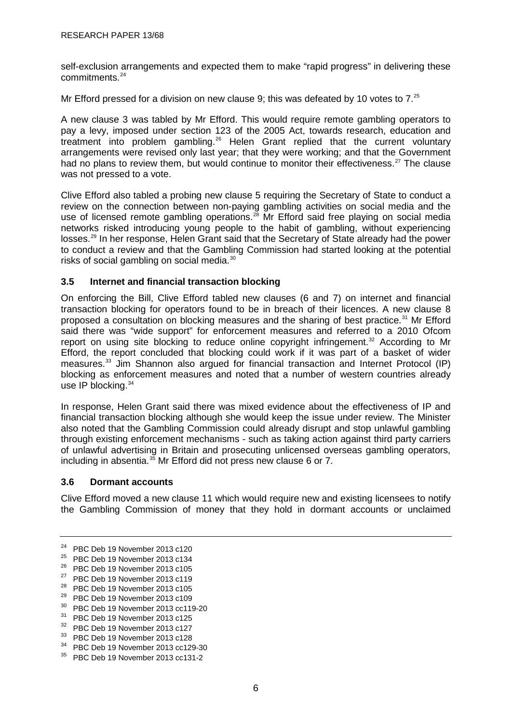self-exclusion arrangements and expected them to make "rapid progress" in delivering these commitments.<sup>[24](#page-9-0)</sup>

Mr Efford pressed for a division on new clause 9; this was defeated by 10 votes to 7.<sup>[25](#page-9-1)</sup>

A new clause 3 was tabled by Mr Efford. This would require remote gambling operators to pay a levy, imposed under section 123 of the 2005 Act, towards research, education and treatment into problem gambling.<sup>[26](#page-9-2)</sup> Helen Grant replied that the current voluntary arrangements were revised only last year; that they were working; and that the Government had no plans to review them, but would continue to monitor their effectiveness.<sup>[27](#page-9-3)</sup> The clause was not pressed to a vote.

Clive Efford also tabled a probing new clause 5 requiring the Secretary of State to conduct a review on the connection between non-paying gambling activities on social media and the use of licensed remote gambling operations.<sup>[28](#page-9-4)</sup> Mr Efford said free playing on social media networks risked introducing young people to the habit of gambling, without experiencing losses.<sup>[29](#page-9-5)</sup> In her response, Helen Grant said that the Secretary of State already had the power to conduct a review and that the Gambling Commission had started looking at the potential risks of social gambling on social media.<sup>[30](#page-9-6)</sup>

#### **3.5 Internet and financial transaction blocking**

On enforcing the Bill, Clive Efford tabled new clauses (6 and 7) on internet and financial transaction blocking for operators found to be in breach of their licences. A new clause 8 proposed a consultation on blocking measures and the sharing of best practice.<sup>[31](#page-9-7)</sup> Mr Efford said there was "wide support" for enforcement measures and referred to a 2010 Ofcom report on using site blocking to reduce online copyright infringement.<sup>[32](#page-9-8)</sup> According to Mr Efford, the report concluded that blocking could work if it was part of a basket of wider measures.<sup>[33](#page-9-9)</sup> Jim Shannon also argued for financial transaction and Internet Protocol (IP) blocking as enforcement measures and noted that a number of western countries already use IP blocking.<sup>[34](#page-9-10)</sup>

In response, Helen Grant said there was mixed evidence about the effectiveness of IP and financial transaction blocking although she would keep the issue under review. The Minister also noted that the Gambling Commission could already disrupt and stop unlawful gambling through existing enforcement mechanisms - such as taking action against third party carriers of unlawful advertising in Britain and prosecuting unlicensed overseas gambling operators, including in absentia. $35$  Mr Efford did not press new clause 6 or 7.

#### **3.6 Dormant accounts**

Clive Efford moved a new clause 11 which would require new and existing licensees to notify the Gambling Commission of money that they hold in dormant accounts or unclaimed

<span id="page-9-6"></span><sup>30</sup> PBC Deb 19 November 2013 cc119-20

<span id="page-9-0"></span><sup>24</sup> PBC Deb 19 November 2013 c120

<span id="page-9-1"></span><sup>25</sup> PBC Deb 19 November 2013 c134

<span id="page-9-2"></span><sup>26</sup> PBC Deb 19 November 2013 c105

<span id="page-9-3"></span><sup>27</sup> PBC Deb 19 November 2013 c119

<span id="page-9-4"></span><sup>28</sup> PBC Deb 19 November 2013 c105

<span id="page-9-5"></span><sup>29</sup> PBC Deb 19 November 2013 c109

<span id="page-9-7"></span><sup>31</sup> PBC Deb 19 November 2013 c125

<span id="page-9-8"></span><sup>32</sup> PBC Deb 19 November 2013 c127

<span id="page-9-9"></span><sup>33</sup> PBC Deb 19 November 2013 c128

<span id="page-9-10"></span><sup>34</sup> PBC Deb 19 November 2013 cc129-30

<span id="page-9-11"></span><sup>35</sup> PBC Deb 19 November 2013 cc131-2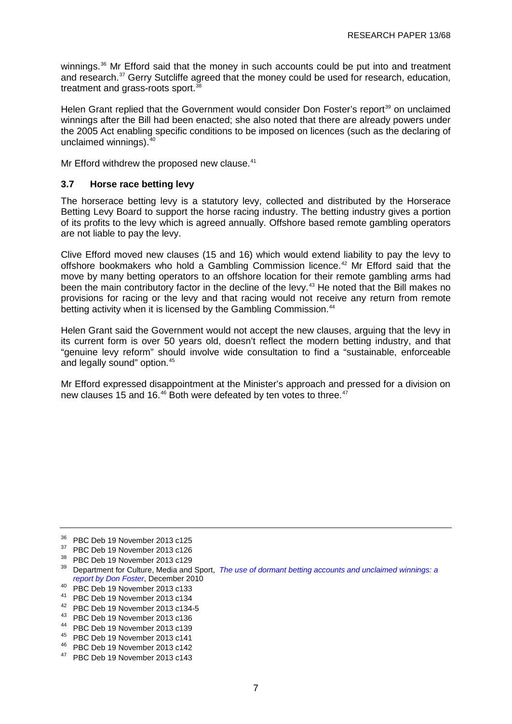winnings.<sup>[36](#page-10-0)</sup> Mr Efford said that the money in such accounts could be put into and treatment and research.<sup>[37](#page-10-1)</sup> Gerry Sutcliffe agreed that the money could be used for research, education, treatment and grass-roots sport.<sup>[38](#page-10-2)</sup>

Helen Grant replied that the Government would consider Don Foster's report<sup>[39](#page-10-3)</sup> on unclaimed winnings after the Bill had been enacted; she also noted that there are already powers under the 2005 Act enabling specific conditions to be imposed on licences (such as the declaring of unclaimed winnings). $40$ 

Mr Efford withdrew the proposed new clause.<sup>[41](#page-10-5)</sup>

#### **3.7 Horse race betting levy**

The horserace betting levy is a statutory levy, collected and distributed by the Horserace Betting Levy Board to support the horse racing industry. The betting industry gives a portion of its profits to the levy which is agreed annually. Offshore based remote gambling operators are not liable to pay the levy.

Clive Efford moved new clauses (15 and 16) which would extend liability to pay the levy to offshore bookmakers who hold a Gambling Commission licence.<sup>[42](#page-10-6)</sup> Mr Efford said that the move by many betting operators to an offshore location for their remote gambling arms had been the main contributory factor in the decline of the levy.<sup>[43](#page-10-7)</sup> He noted that the Bill makes no provisions for racing or the levy and that racing would not receive any return from remote betting activity when it is licensed by the Gambling Commission. [44](#page-10-8)

Helen Grant said the Government would not accept the new clauses, arguing that the levy in its current form is over 50 years old, doesn't reflect the modern betting industry, and that "genuine levy reform" should involve wide consultation to find a "sustainable, enforceable and legally sound" option.<sup>[45](#page-10-9)</sup>

Mr Efford expressed disappointment at the Minister's approach and pressed for a division on new clauses 15 and 16.<sup>[46](#page-10-10)</sup> Both were defeated by ten votes to three.<sup>[47](#page-10-11)</sup>

- <span id="page-10-6"></span><sup>42</sup> PBC Deb 19 November 2013 c134-5
- <span id="page-10-7"></span><sup>43</sup> PBC Deb 19 November 2013 c136
- <span id="page-10-8"></span><sup>44</sup> PBC Deb 19 November 2013 c139
- <span id="page-10-9"></span><sup>45</sup> PBC Deb 19 November 2013 c141
- <span id="page-10-10"></span><sup>46</sup> PBC Deb 19 November 2013 c142
- <span id="page-10-11"></span><sup>47</sup> PBC Deb 19 November 2013 c143

<span id="page-10-0"></span><sup>36</sup> PBC Deb 19 November 2013 c125

<span id="page-10-1"></span> $37$  PBC Deb 19 November 2013 c126<br> $38$  PBC Deb 19 November 2013 c129

<span id="page-10-3"></span><span id="page-10-2"></span><sup>&</sup>lt;sup>39</sup> Department for Culture, Media and Sport, *The use of dormant betting accounts and unclaimed winnings: a [report by Don Foster](https://www.gov.uk/government/uploads/system/uploads/attachment_data/file/78579/Dormant_Betting_Accounts_Report_Don_Foster_Dec_2010.pdf)*, December 2010

<span id="page-10-4"></span><sup>40</sup> PBC Deb 19 November 2013 c133

<span id="page-10-5"></span><sup>41</sup> PBC Deb 19 November 2013 c134